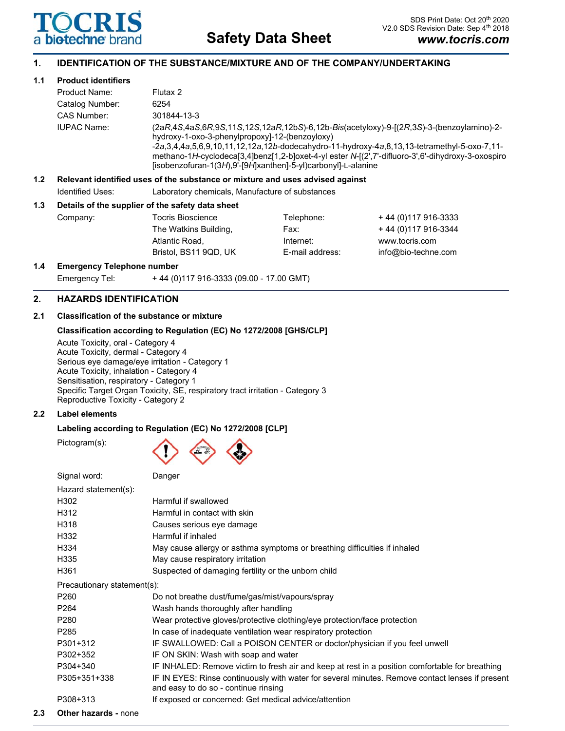

# **1. IDENTIFICATION OF THE SUBSTANCE/MIXTURE AND OF THE COMPANY/UNDERTAKING**

# **1.1 Product identifiers**

|                  | Product Name:                                                                 | Flutax 2                                                                                                                                                                                                                                                                                                                                                                                                                         |            |                      |  |  |
|------------------|-------------------------------------------------------------------------------|----------------------------------------------------------------------------------------------------------------------------------------------------------------------------------------------------------------------------------------------------------------------------------------------------------------------------------------------------------------------------------------------------------------------------------|------------|----------------------|--|--|
|                  | Catalog Number:                                                               | 6254                                                                                                                                                                                                                                                                                                                                                                                                                             |            |                      |  |  |
|                  | CAS Number:                                                                   | 301844-13-3                                                                                                                                                                                                                                                                                                                                                                                                                      |            |                      |  |  |
|                  | <b>IUPAC Name:</b>                                                            | (2aR,4S,4aS,6R,9S,11S,12S,12aR,12bS)-6,12b-Bis(acetyloxy)-9-[(2R,3S)-3-(benzoylamino)-2-<br>hydroxy-1-oxo-3-phenylpropoxyl-12-(benzoyloxy)<br>$-2a, 3, 4, 4a, 5, 6, 9, 10, 11, 12, 12a, 12b-dodecahydro-11-hydroxy-4a, 8, 13, 13-tetramethyl-5-oxo-7, 11-$<br>methano-1H-cyclodeca[3,4]benz[1,2-b]oxet-4-yl ester N-[(2',7'-difluoro-3',6'-dihydroxy-3-oxospiro<br>[isobenzofuran-1(3H),9'-[9H]xanthen]-5-yl)carbonyl]-L-alanine |            |                      |  |  |
| 1.2 <sub>1</sub> | Relevant identified uses of the substance or mixture and uses advised against |                                                                                                                                                                                                                                                                                                                                                                                                                                  |            |                      |  |  |
|                  | Identified Uses:                                                              | Laboratory chemicals, Manufacture of substances                                                                                                                                                                                                                                                                                                                                                                                  |            |                      |  |  |
| 1.3              | Details of the supplier of the safety data sheet                              |                                                                                                                                                                                                                                                                                                                                                                                                                                  |            |                      |  |  |
|                  | Company:                                                                      | <b>Tocris Bioscience</b>                                                                                                                                                                                                                                                                                                                                                                                                         | Telephone: | +44 (0) 117 916-3333 |  |  |
|                  |                                                                               | The Watkins Building,                                                                                                                                                                                                                                                                                                                                                                                                            | Fax:       | +44 (0) 117 916-3344 |  |  |
|                  |                                                                               | Atlantic Road.                                                                                                                                                                                                                                                                                                                                                                                                                   | Internet:  | www.tocris.com       |  |  |

Bristol, BS11 9QD, UK E-mail address: info@bio-techne.com

# **1.4 Emergency Telephone number**

Emergency Tel: + 44 (0)117 916-3333 (09.00 - 17.00 GMT)

# **2. HAZARDS IDENTIFICATION**

# **2.1 Classification of the substance or mixture**

# **Classification according to Regulation (EC) No 1272/2008 [GHS/CLP]**

Acute Toxicity, oral - Category 4 Acute Toxicity, dermal - Category 4 Serious eye damage/eye irritation - Category 1 Acute Toxicity, inhalation - Category 4 Sensitisation, respiratory - Category 1 Specific Target Organ Toxicity, SE, respiratory tract irritation - Category 3 Reproductive Toxicity - Category 2

# **2.2 Label elements**

# **Labeling according to Regulation (EC) No 1272/2008 [CLP]**

Pictogram(s):

| Danger                                                                                                                                  |
|-----------------------------------------------------------------------------------------------------------------------------------------|
|                                                                                                                                         |
| Harmful if swallowed                                                                                                                    |
| Harmful in contact with skin                                                                                                            |
| Causes serious eye damage                                                                                                               |
| Harmful if inhaled                                                                                                                      |
| May cause allergy or asthma symptoms or breathing difficulties if inhaled                                                               |
| May cause respiratory irritation                                                                                                        |
| Suspected of damaging fertility or the unborn child                                                                                     |
| Precautionary statement(s):                                                                                                             |
| Do not breathe dust/fume/gas/mist/vapours/spray                                                                                         |
| Wash hands thoroughly after handling                                                                                                    |
| Wear protective gloves/protective clothing/eye protection/face protection                                                               |
| In case of inadequate ventilation wear respiratory protection                                                                           |
| IF SWALLOWED: Call a POISON CENTER or doctor/physician if you feel unwell                                                               |
| IF ON SKIN: Wash with soap and water                                                                                                    |
| IF INHALED: Remove victim to fresh air and keep at rest in a position comfortable for breathing                                         |
| IF IN EYES: Rinse continuously with water for several minutes. Remove contact lenses if present<br>and easy to do so - continue rinsing |
| If exposed or concerned: Get medical advice/attention                                                                                   |
|                                                                                                                                         |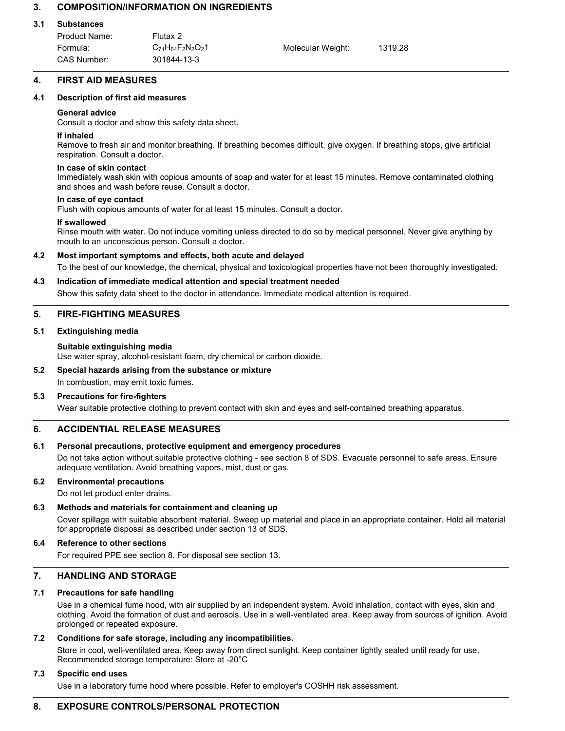# **3. COMPOSITION/INFORMATION ON INGREDIENTS**

## **3.1 Substances**

| Product Name: | Flutax 2                       |                   |         |
|---------------|--------------------------------|-------------------|---------|
| Formula:      | $C_{71}H_{64}F_{2}N_{2}O_{2}1$ | Molecular Weight: | 1319.28 |
| CAS Number:   | 301844-13-3                    |                   |         |

# **4. FIRST AID MEASURES**

## **4.1 Description of first aid measures**

## **General advice**

Consult a doctor and show this safety data sheet.

#### **If inhaled**

Remove to fresh air and monitor breathing. If breathing becomes difficult, give oxygen. If breathing stops, give artificial respiration. Consult a doctor.

#### **In case of skin contact**

Immediately wash skin with copious amounts of soap and water for at least 15 minutes. Remove contaminated clothing and shoes and wash before reuse. Consult a doctor.

#### **In case of eye contact**

Flush with copious amounts of water for at least 15 minutes. Consult a doctor.

#### **If swallowed**

Rinse mouth with water. Do not induce vomiting unless directed to do so by medical personnel. Never give anything by mouth to an unconscious person. Consult a doctor.

# **4.2 Most important symptoms and effects, both acute and delayed**

To the best of our knowledge, the chemical, physical and toxicological properties have not been thoroughly investigated.

#### **4.3 Indication of immediate medical attention and special treatment needed**

Show this safety data sheet to the doctor in attendance. Immediate medical attention is required.

# **5. FIRE-FIGHTING MEASURES**

#### **5.1 Extinguishing media**

#### **Suitable extinguishing media**

Use water spray, alcohol-resistant foam, dry chemical or carbon dioxide.

# **5.2 Special hazards arising from the substance or mixture**

In combustion, may emit toxic fumes.

# **5.3 Precautions for fire-fighters**

Wear suitable protective clothing to prevent contact with skin and eyes and self-contained breathing apparatus.

# **6. ACCIDENTIAL RELEASE MEASURES**

# **6.1 Personal precautions, protective equipment and emergency procedures**

Do not take action without suitable protective clothing - see section 8 of SDS. Evacuate personnel to safe areas. Ensure adequate ventilation. Avoid breathing vapors, mist, dust or gas.

# **6.2 Environmental precautions**

Do not let product enter drains.

# **6.3 Methods and materials for containment and cleaning up**

Cover spillage with suitable absorbent material. Sweep up material and place in an appropriate container. Hold all material for appropriate disposal as described under section 13 of SDS.

# **6.4 Reference to other sections**

For required PPE see section 8. For disposal see section 13.

# **7. HANDLING AND STORAGE**

# **7.1 Precautions for safe handling**

Use in a chemical fume hood, with air supplied by an independent system. Avoid inhalation, contact with eyes, skin and clothing. Avoid the formation of dust and aerosols. Use in a well-ventilated area. Keep away from sources of ignition. Avoid prolonged or repeated exposure.

# **7.2 Conditions for safe storage, including any incompatibilities.**

Store in cool, well-ventilated area. Keep away from direct sunlight. Keep container tightly sealed until ready for use. Recommended storage temperature: Store at -20°C

# **7.3 Specific end uses**

Use in a laboratory fume hood where possible. Refer to employer's COSHH risk assessment.

# **8. EXPOSURE CONTROLS/PERSONAL PROTECTION**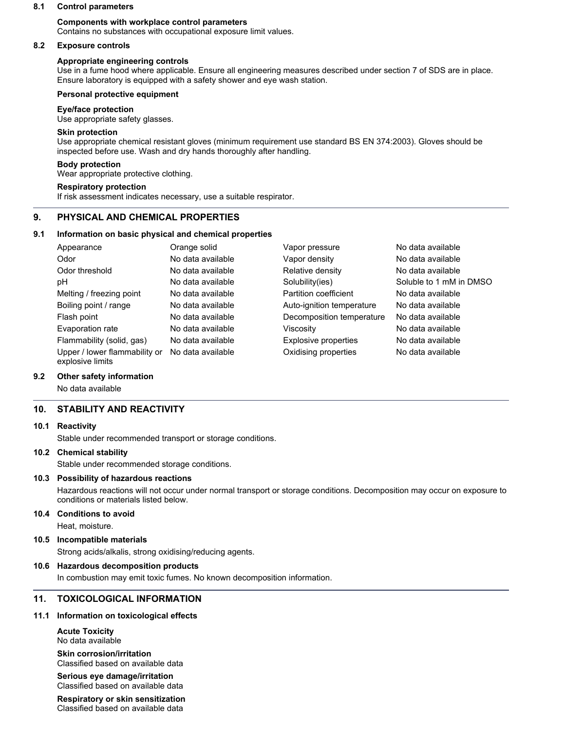#### **8.1 Control parameters**

# **Components with workplace control parameters**

Contains no substances with occupational exposure limit values.

#### **8.2 Exposure controls**

## **Appropriate engineering controls**

Use in a fume hood where applicable. Ensure all engineering measures described under section 7 of SDS are in place. Ensure laboratory is equipped with a safety shower and eye wash station.

#### **Personal protective equipment**

#### **Eye/face protection**

Use appropriate safety glasses.

# **Skin protection**

Use appropriate chemical resistant gloves (minimum requirement use standard BS EN 374:2003). Gloves should be inspected before use. Wash and dry hands thoroughly after handling.

## **Body protection**

Wear appropriate protective clothing.

#### **Respiratory protection**

If risk assessment indicates necessary, use a suitable respirator.

# **9. PHYSICAL AND CHEMICAL PROPERTIES**

#### **9.1 Information on basic physical and chemical properties**

| Appearance                                        | Orange solid      | Vapor pressure            | No data available       |
|---------------------------------------------------|-------------------|---------------------------|-------------------------|
| Odor                                              | No data available | Vapor density             | No data available       |
| Odor threshold                                    | No data available | Relative density          | No data available       |
| рH                                                | No data available | Solubility(ies)           | Soluble to 1 mM in DMSO |
| Melting / freezing point                          | No data available | Partition coefficient     | No data available       |
| Boiling point / range                             | No data available | Auto-ignition temperature | No data available       |
| Flash point                                       | No data available | Decomposition temperature | No data available       |
| Evaporation rate                                  | No data available | Viscosity                 | No data available       |
| Flammability (solid, gas)                         | No data available | Explosive properties      | No data available       |
| Upper / lower flammability or<br>explosive limits | No data available | Oxidising properties      | No data available       |

#### **9.2 Other safety information**

No data available

# **10. STABILITY AND REACTIVITY**

#### **10.1 Reactivity**

Stable under recommended transport or storage conditions.

#### **10.2 Chemical stability**

Stable under recommended storage conditions.

#### **10.3 Possibility of hazardous reactions**

Hazardous reactions will not occur under normal transport or storage conditions. Decomposition may occur on exposure to conditions or materials listed below.

#### **10.4 Conditions to avoid**

Heat, moisture.

#### **10.5 Incompatible materials**

Strong acids/alkalis, strong oxidising/reducing agents.

#### **10.6 Hazardous decomposition products**

In combustion may emit toxic fumes. No known decomposition information.

# **11. TOXICOLOGICAL INFORMATION**

# **11.1 Information on toxicological effects**

**Acute Toxicity** No data available

**Skin corrosion/irritation** Classified based on available data

**Serious eye damage/irritation** Classified based on available data

**Respiratory or skin sensitization** Classified based on available data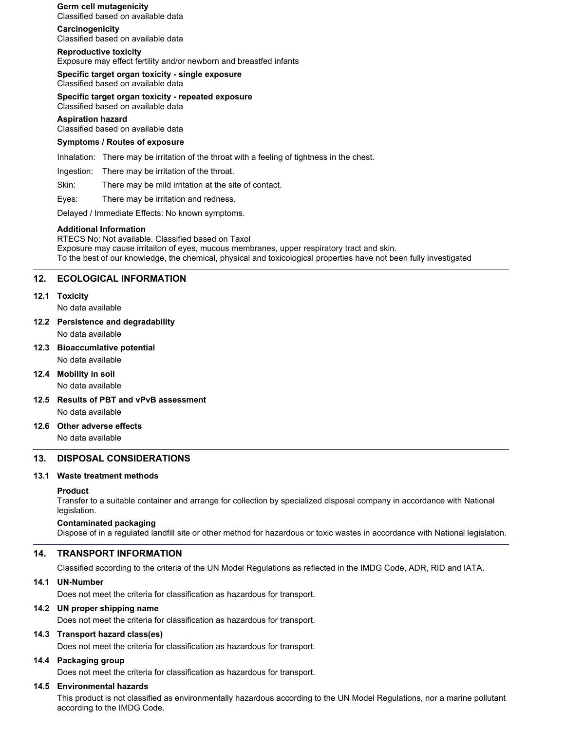**Germ cell mutagenicity** Classified based on available data

**Carcinogenicity** Classified based on available data

**Reproductive toxicity** Exposure may effect fertility and/or newborn and breastfed infants

**Specific target organ toxicity - single exposure** Classified based on available data

**Specific target organ toxicity - repeated exposure** Classified based on available data

**Aspiration hazard**

Classified based on available data

# **Symptoms / Routes of exposure**

Inhalation: There may be irritation of the throat with a feeling of tightness in the chest.

Ingestion: There may be irritation of the throat.

Skin: There may be mild irritation at the site of contact.

Eyes: There may be irritation and redness.

Delayed / Immediate Effects: No known symptoms.

#### **Additional Information**

RTECS No: Not available. Classified based on Taxol Exposure may cause irritaiton of eyes, mucous membranes, upper respiratory tract and skin. To the best of our knowledge, the chemical, physical and toxicological properties have not been fully investigated

# **12. ECOLOGICAL INFORMATION**

#### **12.1 Toxicity**

No data available

**12.2 Persistence and degradability**

No data available

**12.3 Bioaccumlative potential**

No data available

# **12.4 Mobility in soil**

No data available

**12.5 Results of PBT and vPvB assessment** No data available

# **12.6 Other adverse effects**

No data available

# **13. DISPOSAL CONSIDERATIONS**

# **13.1 Waste treatment methods**

# **Product**

Transfer to a suitable container and arrange for collection by specialized disposal company in accordance with National legislation.

# **Contaminated packaging**

Dispose of in a regulated landfill site or other method for hazardous or toxic wastes in accordance with National legislation.

# **14. TRANSPORT INFORMATION**

Classified according to the criteria of the UN Model Regulations as reflected in the IMDG Code, ADR, RID and IATA.

# **14.1 UN-Number**

Does not meet the criteria for classification as hazardous for transport.

# **14.2 UN proper shipping name**

Does not meet the criteria for classification as hazardous for transport.

# **14.3 Transport hazard class(es)**

Does not meet the criteria for classification as hazardous for transport.

#### **14.4 Packaging group**

Does not meet the criteria for classification as hazardous for transport.

# **14.5 Environmental hazards**

This product is not classified as environmentally hazardous according to the UN Model Regulations, nor a marine pollutant according to the IMDG Code.